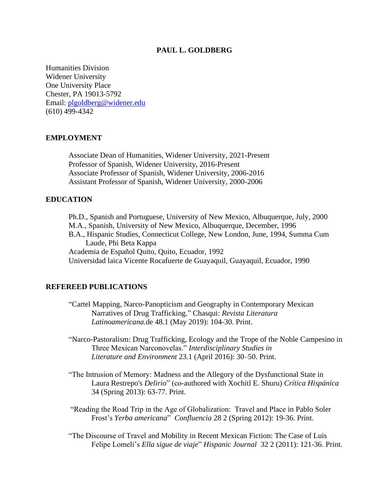#### **PAUL L. GOLDBERG**

Humanities Division Widener University One University Place Chester, PA 19013-5792 Email: [plgoldberg@widener.edu](mailto:plgoldberg@widener.edu) (610) 499-4342

#### **EMPLOYMENT**

Associate Dean of Humanities, Widener University, 2021-Present Professor of Spanish, Widener University, 2016-Present Associate Professor of Spanish, Widener University, 2006-2016 Assistant Professor of Spanish, Widener University, 2000-2006

### **EDUCATION**

Ph.D., Spanish and Portuguese, University of New Mexico, Albuquerque, July, 2000 M.A., Spanish, University of New Mexico, Albuquerque, December, 1996 B.A., Hispanic Studies, Connecticut College, New London, June, 1994, Summa Cum Laude, Phi Beta Kappa Academia de Español Quito, Quito, Ecuador, 1992 Universidad laica Vicente Rocafuerte de Guayaquil, Guayaquil, Ecuador, 1990

#### **REFEREED PUBLICATIONS**

- "Cartel Mapping, Narco-Panopticism and Geography in Contemporary Mexican Narratives of Drug Trafficking." Chasqui: *Revista Literatura Latinoamericana.*de 48.1 (May 2019): 104-30. Print.
- "Narco-Pastoralism: Drug Trafficking, Ecology and the Trope of the Noble Campesino in Three Mexican Narconovelas." *Interdisciplinary Studies in Literature and Environment* 23.1 (April 2016): 30–50. Print.
- "The Intrusion of Memory: Madness and the Allegory of the Dysfunctional State in Laura Restrepo's *Delirio*" (co-authored with Xochitl E. Shuru) *Crítica Hispánica* 34 (Spring 2013): 63-77. Print.
- "Reading the Road Trip in the Age of Globalization: Travel and Place in Pablo Soler Frost's *Yerba americana*" *Confluencia* 28 2 (Spring 2012): 19-36. Print.
- "The Discourse of Travel and Mobility in Recent Mexican Fiction: The Case of Luis Felipe Lomelí's *Ella sigue de viaje*" *Hispanic Journal* 32 2 (2011): 121-36. Print.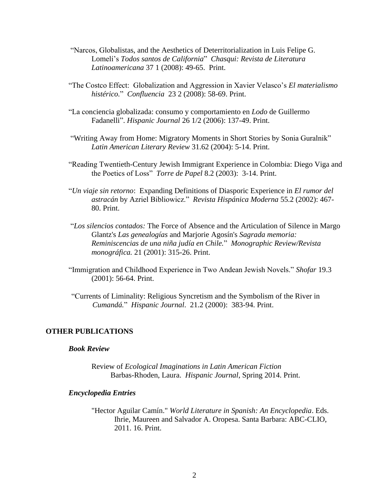- "Narcos, Globalistas, and the Aesthetics of Deterritorialization in Luis Felipe G. Lomelí's *Todos santos de California*" *Chasqui: Revista de Literatura Latinoamericana* 37 1 (2008): 49-65. Print.
- "The Costco Effect: Globalization and Aggression in Xavier Velasco's *El materialismo histérico.*" *Confluencia* 23 2 (2008): 58-69. Print.
- "La conciencia globalizada: consumo y comportamiento en *Lodo* de Guillermo Fadanelli". *Hispanic Journal* 26 1/2 (2006): 137-49. Print.
- "Writing Away from Home: Migratory Moments in Short Stories by Sonia Guralnik" *Latin American Literary Review* 31.62 (2004): 5-14. Print.
- "Reading Twentieth-Century Jewish Immigrant Experience in Colombia: Diego Viga and the Poetics of Loss" *Torre de Papel* 8.2 (2003): 3-14. Print.
- "*Un viaje sin retorno*: Expanding Definitions of Diasporic Experience in *El rumor del astracán* by Azriel Bibliowicz." *Revista Hispánica Moderna* 55.2 (2002): 467- 80. Print.
- "*Los silencios contados:* The Force of Absence and the Articulation of Silence in Margo Glantz's *Las genealogías* and Marjorie Agosín's *Sagrada memoria: Reminiscencias de una niña judía en Chile.*" *Monographic Review/Revista monográfica.* 21 (2001): 315-26. Print.
- "Immigration and Childhood Experience in Two Andean Jewish Novels." *Shofar* 19.3 (2001): 56-64. Print.
- "Currents of Liminality: Religious Syncretism and the Symbolism of the River in *Cumandá.*" *Hispanic Journal*. 21.2 (2000): 383-94. Print.

### **OTHER PUBLICATIONS**

### *Book Review*

Review of *Ecological Imaginations in Latin American Fiction* Barbas-Rhoden, Laura. *Hispanic Journal*, Spring 2014. Print.

#### *Encyclopedia Entries*

"Hector Aguilar Camín." *World Literature in Spanish: An Encyclopedia*. Eds. Ihrie, Maureen and Salvador A. Oropesa. Santa Barbara: ABC-CLIO, 2011. 16. Print.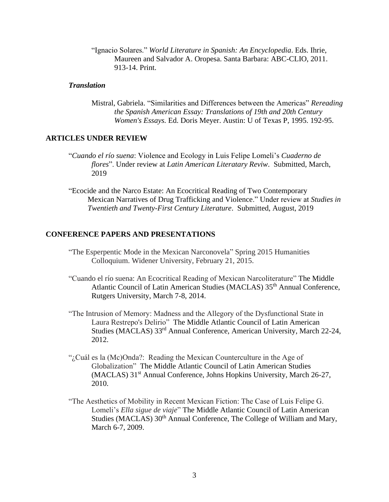"Ignacio Solares." *World Literature in Spanish: An Encyclopedia*. Eds. Ihrie, Maureen and Salvador A. Oropesa. Santa Barbara: ABC-CLIO, 2011. 913-14. Print.

#### *Translation*

Mistral, Gabriela. "Similarities and Differences between the Americas" *Rereading the Spanish American Essay: Translations of 19th and 20th Century Women's Essays.* Ed. Doris Meyer. Austin: U of Texas P, 1995. 192-95.

#### **ARTICLES UNDER REVIEW**

- "*Cuando el río suena*: Violence and Ecology in Luis Felipe Lomeli's *Cuaderno de flores*". Under review at *Latin American Literatary Reviw*. Submitted, March, 2019
- "Ecocide and the Narco Estate: An Ecocritical Reading of Two Contemporary Mexican Narratives of Drug Trafficking and Violence." Under review at *Studies in Twentieth and Twenty-First Century Literature*. Submitted, August, 2019

#### **CONFERENCE PAPERS AND PRESENTATIONS**

- "The Esperpentic Mode in the Mexican Narconovela" Spring 2015 Humanities Colloquium. Widener University, February 21, 2015.
- "Cuando el río suena: An Ecocritical Reading of Mexican Narcoliterature" The Middle Atlantic Council of Latin American Studies (MACLAS) 35<sup>th</sup> Annual Conference, Rutgers University, March 7-8, 2014.
- "The Intrusion of Memory: Madness and the Allegory of the Dysfunctional State in Laura Restrepo's Delirio" The Middle Atlantic Council of Latin American Studies (MACLAS) 33<sup>rd</sup> Annual Conference, American University, March 22-24, 2012.
- "¿Cuál es la (Mc)Onda?: Reading the Mexican Counterculture in the Age of Globalization" The Middle Atlantic Council of Latin American Studies (MACLAS) 31st Annual Conference, Johns Hopkins University, March 26-27, 2010.
- "The Aesthetics of Mobility in Recent Mexican Fiction: The Case of Luis Felipe G. Lomeli's *Ella sigue de viaje*" The Middle Atlantic Council of Latin American Studies (MACLAS) 30<sup>th</sup> Annual Conference, The College of William and Mary, March 6-7, 2009.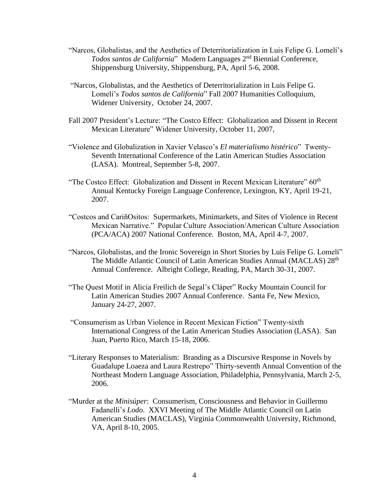- "Narcos, Globalistas, and the Aesthetics of Deterritorialization in Luis Felipe G. Lomelí's *Todos santos de California*" Modern Languages 2<sup>nd</sup> Biennial Conference, Shippensburg University, Shippensburg, PA, April 5-6, 2008.
- "Narcos, Globalistas, and the Aesthetics of Deterritorialization in Luis Felipe G. Lomelí's *Todos santos de California*" Fall 2007 Humanities Colloquium, Widener University, October 24, 2007.
- Fall 2007 President's Lecture: "The Costco Effect: Globalization and Dissent in Recent Mexican Literature" Widener University, October 11, 2007,
- "Violence and Globalization in Xavier Velasco's *El materialismo histérico*" Twenty-Seventh International Conference of the Latin American Studies Association (LASA). Montreal, September 5-8, 2007.
- "The Costco Effect: Globalization and Dissent in Recent Mexican Literature"  $60<sup>th</sup>$ Annual Kentucky Foreign Language Conference, Lexington, KY, April 19-21, 2007.
- "Costcos and CariñOsitos: Supermarkets, Minimarkets, and Sites of Violence in Recent Mexican Narrative." Popular Culture Association/American Culture Association (PCA/ACA) 2007 National Conference. Boston, MA, April 4-7, 2007.
- "Narcos, Globalistas, and the Ironic Sovereign in Short Stories by Luis Felipe G. Lomelí" The Middle Atlantic Council of Latin American Studies Annual (MACLAS) 28<sup>th</sup> Annual Conference. Albright College, Reading, PA, March 30-31, 2007.
- "The Quest Motif in Alicia Freilich de Segal's Cláper" Rocky Mountain Council for Latin American Studies 2007 Annual Conference. Santa Fe, New Mexico, January 24-27, 2007.
- "Consumerism as Urban Violence in Recent Mexican Fiction" Twenty-sixth International Congress of the Latin American Studies Association (LASA). San Juan, Puerto Rico, March 15-18, 2006.
- "Literary Responses to Materialism: Branding as a Discursive Response in Novels by Guadalupe Loaeza and Laura Restrepo" Thirty-seventh Annual Convention of the Northeast Modern Language Association, Philadelphia, Pennsylvania, March 2-5, 2006.
- "Murder at the *Minisúper*: Consumerism, Consciousness and Behavior in Guillermo Fadanelli's *Lodo*. XXVI Meeting of The Middle Atlantic Council on Latin American Studies (MACLAS), Virginia Commonwealth University, Richmond, VA, April 8-10, 2005.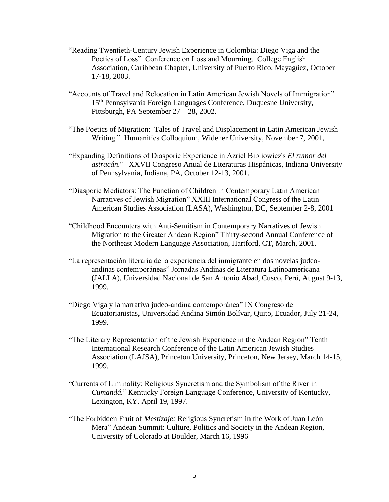- "Reading Twentieth-Century Jewish Experience in Colombia: Diego Viga and the Poetics of Loss" Conference on Loss and Mourning. College English Association, Caribbean Chapter, University of Puerto Rico, Mayagüez, October 17-18, 2003.
- "Accounts of Travel and Relocation in Latin American Jewish Novels of Immigration" 15<sup>th</sup> Pennsylvania Foreign Languages Conference, Duquesne University, Pittsburgh, PA September 27 – 28, 2002.
- "The Poetics of Migration: Tales of Travel and Displacement in Latin American Jewish Writing." Humanities Colloquium, Widener University, November 7, 2001,
- "Expanding Definitions of Diasporic Experience in Azriel Bibliowicz's *El rumor del astracán.*" XXVII Congreso Anual de Literaturas Hispánicas, Indiana University of Pennsylvania, Indiana, PA, October 12-13, 2001.
- "Diasporic Mediators: The Function of Children in Contemporary Latin American Narratives of Jewish Migration" XXIII International Congress of the Latin American Studies Association (LASA), Washington, DC, September 2-8, 2001
- "Childhood Encounters with Anti-Semitism in Contemporary Narratives of Jewish Migration to the Greater Andean Region" Thirty-second Annual Conference of the Northeast Modern Language Association, Hartford, CT, March, 2001.
- "La representación literaria de la experiencia del inmigrante en dos novelas judeoandinas contemporáneas" Jornadas Andinas de Literatura Latinoamericana (JALLA), Universidad Nacional de San Antonio Abad, Cusco, Perú, August 9-13, 1999.
- "Diego Viga y la narrativa judeo-andina contemporánea" IX Congreso de Ecuatorianistas, Universidad Andina Simón Bolívar, Quito, Ecuador, July 21-24, 1999.
- "The Literary Representation of the Jewish Experience in the Andean Region" Tenth International Research Conference of the Latin American Jewish Studies Association (LAJSA), Princeton University, Princeton, New Jersey, March 14-15, 1999.
- "Currents of Liminality: Religious Syncretism and the Symbolism of the River in *Cumandá.*" Kentucky Foreign Language Conference, University of Kentucky, Lexington, KY. April 19, 1997.
- "The Forbidden Fruit of *Mestizaje:* Religious Syncretism in the Work of Juan León Mera" Andean Summit: Culture, Politics and Society in the Andean Region, University of Colorado at Boulder, March 16, 1996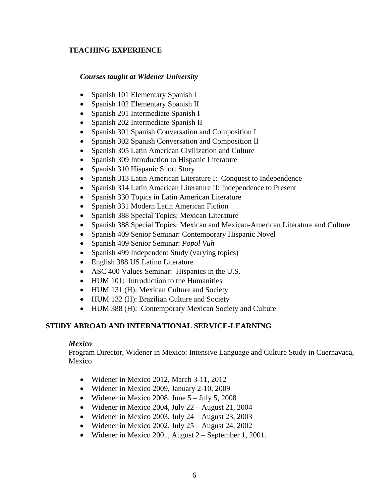## **TEACHING EXPERIENCE**

### *Courses taught at Widener University*

- Spanish 101 Elementary Spanish I
- Spanish 102 Elementary Spanish II
- Spanish 201 Intermediate Spanish I
- Spanish 202 Intermediate Spanish II
- Spanish 301 Spanish Conversation and Composition I
- Spanish 302 Spanish Conversation and Composition II
- Spanish 305 Latin American Civilization and Culture
- Spanish 309 Introduction to Hispanic Literature
- Spanish 310 Hispanic Short Story
- Spanish 313 Latin American Literature I: Conquest to Independence
- Spanish 314 Latin American Literature II: Independence to Present
- Spanish 330 Topics in Latin American Literature
- Spanish 331 Modern Latin American Fiction
- Spanish 388 Special Topics: Mexican Literature
- Spanish 388 Special Topics: Mexican and Mexican-American Literature and Culture
- Spanish 409 Senior Seminar: Contemporary Hispanic Novel
- Spanish 409 Senior Seminar: *Popol Vuh*
- Spanish 499 Independent Study (varying topics)
- English 388 US Latino Literature
- ASC 400 Values Seminar: Hispanics in the U.S.
- HUM 101: Introduction to the Humanities
- HUM 131 (H): Mexican Culture and Society
- HUM 132 (H): Brazilian Culture and Society
- HUM 388 (H): Contemporary Mexican Society and Culture

# **STUDY ABROAD AND INTERNATIONAL SERVICE-LEARNING**

## *Mexico*

Program Director, Widener in Mexico: Intensive Language and Culture Study in Cuernavaca, Mexico

- Widener in Mexico 2012, March 3-11, 2012
- Widener in Mexico 2009, January 2-10, 2009
- Widener in Mexico 2008, June  $5 -$  July 5, 2008
- Widener in Mexico 2004, July 22 August 21, 2004
- Widener in Mexico 2003, July  $24 -$ August 23, 2003
- Widener in Mexico 2002, July  $25 -$ August 24, 2002
- Widener in Mexico 2001, August 2 September 1, 2001.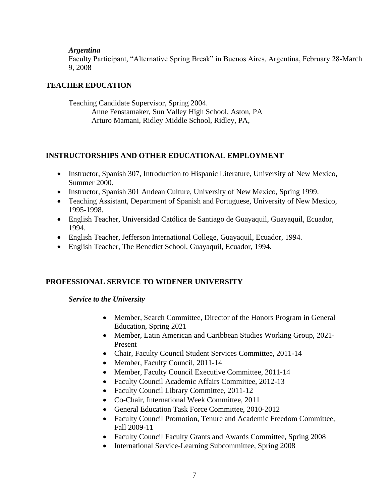### *Argentina*

Faculty Participant, "Alternative Spring Break" in Buenos Aires, Argentina, February 28-March 9, 2008

## **TEACHER EDUCATION**

Teaching Candidate Supervisor, Spring 2004. Anne Fenstamaker, Sun Valley High School, Aston, PA Arturo Mamani, Ridley Middle School, Ridley, PA,

## **INSTRUCTORSHIPS AND OTHER EDUCATIONAL EMPLOYMENT**

- Instructor, Spanish 307, Introduction to Hispanic Literature, University of New Mexico, Summer 2000.
- Instructor, Spanish 301 Andean Culture, University of New Mexico, Spring 1999.
- Teaching Assistant, Department of Spanish and Portuguese, University of New Mexico, 1995-1998.
- English Teacher, Universidad Católica de Santiago de Guayaquil, Guayaquil, Ecuador, 1994.
- English Teacher, Jefferson International College, Guayaquil, Ecuador, 1994.
- English Teacher, The Benedict School, Guayaquil, Ecuador, 1994.

## **PROFESSIONAL SERVICE TO WIDENER UNIVERSITY**

## *Service to the University*

- Member, Search Committee, Director of the Honors Program in General Education, Spring 2021
- Member, Latin American and Caribbean Studies Working Group, 2021-Present
- Chair, Faculty Council Student Services Committee, 2011-14
- Member, Faculty Council, 2011-14
- Member, Faculty Council Executive Committee, 2011-14
- Faculty Council Academic Affairs Committee, 2012-13
- Faculty Council Library Committee, 2011-12
- Co-Chair, International Week Committee, 2011
- General Education Task Force Committee, 2010-2012
- Faculty Council Promotion, Tenure and Academic Freedom Committee, Fall 2009-11
- Faculty Council Faculty Grants and Awards Committee, Spring 2008
- International Service-Learning Subcommittee, Spring 2008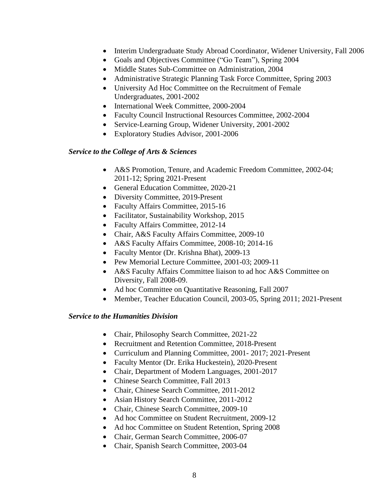- Interim Undergraduate Study Abroad Coordinator, Widener University, Fall 2006
- Goals and Objectives Committee ("Go Team"), Spring 2004
- Middle States Sub-Committee on Administration, 2004
- Administrative Strategic Planning Task Force Committee, Spring 2003
- University Ad Hoc Committee on the Recruitment of Female Undergraduates, 2001-2002
- International Week Committee, 2000-2004
- Faculty Council Instructional Resources Committee, 2002-2004
- Service-Learning Group, Widener University, 2001-2002
- Exploratory Studies Advisor, 2001-2006

### *Service to the College of Arts & Sciences*

- A&S Promotion, Tenure, and Academic Freedom Committee, 2002-04; 2011-12; Spring 2021-Present
- General Education Committee, 2020-21
- Diversity Committee, 2019-Present
- Faculty Affairs Committee, 2015-16
- Facilitator, Sustainability Workshop, 2015
- Faculty Affairs Committee, 2012-14
- Chair, A&S Faculty Affairs Committee, 2009-10
- A&S Faculty Affairs Committee, 2008-10; 2014-16
- Faculty Mentor (Dr. Krishna Bhat), 2009-13
- Pew Memorial Lecture Committee, 2001-03; 2009-11
- A&S Faculty Affairs Committee liaison to ad hoc A&S Committee on Diversity, Fall 2008-09.
- Ad hoc Committee on Quantitative Reasoning, Fall 2007
- Member, Teacher Education Council, 2003-05, Spring 2011; 2021-Present

### *Service to the Humanities Division*

- Chair, Philosophy Search Committee, 2021-22
- Recruitment and Retention Committee, 2018-Present
- Curriculum and Planning Committee, 2001- 2017; 2021-Present
- Faculty Mentor (Dr. Erika Huckestein), 2020-Present
- Chair, Department of Modern Languages, 2001-2017
- Chinese Search Committee, Fall 2013
- Chair, Chinese Search Committee, 2011-2012
- Asian History Search Committee, 2011-2012
- Chair, Chinese Search Committee, 2009-10
- Ad hoc Committee on Student Recruitment, 2009-12
- Ad hoc Committee on Student Retention, Spring 2008
- Chair, German Search Committee, 2006-07
- Chair, Spanish Search Committee, 2003-04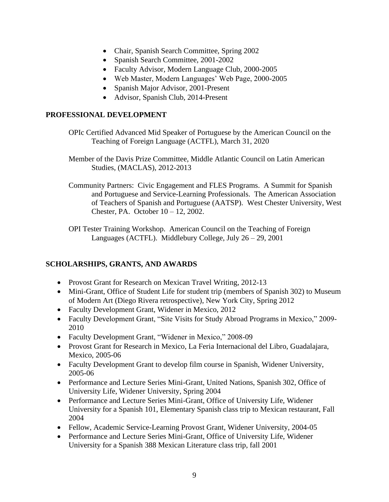- Chair, Spanish Search Committee, Spring 2002
- Spanish Search Committee, 2001-2002
- Faculty Advisor, Modern Language Club, 2000-2005
- Web Master, Modern Languages' Web Page, 2000-2005
- Spanish Major Advisor, 2001-Present
- Advisor, Spanish Club, 2014-Present

## **PROFESSIONAL DEVELOPMENT**

- OPIc Certified Advanced Mid Speaker of Portuguese by the American Council on the Teaching of Foreign Language (ACTFL), March 31, 2020
- Member of the Davis Prize Committee, Middle Atlantic Council on Latin American Studies, (MACLAS), 2012-2013
- Community Partners: Civic Engagement and FLES Programs. A Summit for Spanish and Portuguese and Service-Learning Professionals. The American Association of Teachers of Spanish and Portuguese (AATSP). West Chester University, West Chester, PA. October 10 – 12, 2002.

OPI Tester Training Workshop. American Council on the Teaching of Foreign Languages (ACTFL). Middlebury College, July 26 – 29, 2001

# **SCHOLARSHIPS, GRANTS, AND AWARDS**

- Provost Grant for Research on Mexican Travel Writing, 2012-13
- Mini-Grant, Office of Student Life for student trip (members of Spanish 302) to Museum of Modern Art (Diego Rivera retrospective), New York City, Spring 2012
- Faculty Development Grant, Widener in Mexico, 2012
- Faculty Development Grant, "Site Visits for Study Abroad Programs in Mexico," 2009- 2010
- Faculty Development Grant, "Widener in Mexico," 2008-09
- Provost Grant for Research in Mexico, La Feria Internacional del Libro, Guadalajara, Mexico, 2005-06
- Faculty Development Grant to develop film course in Spanish, Widener University, 2005-06
- Performance and Lecture Series Mini-Grant, United Nations, Spanish 302, Office of University Life, Widener University, Spring 2004
- Performance and Lecture Series Mini-Grant, Office of University Life, Widener University for a Spanish 101, Elementary Spanish class trip to Mexican restaurant, Fall 2004
- Fellow, Academic Service-Learning Provost Grant, Widener University, 2004-05
- Performance and Lecture Series Mini-Grant, Office of University Life, Widener University for a Spanish 388 Mexican Literature class trip, fall 2001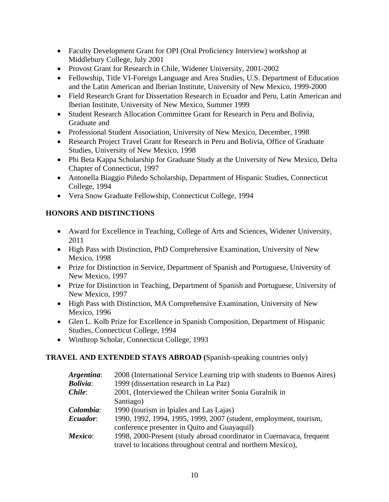- Faculty Development Grant for OPI (Oral Proficiency Interview) workshop at Middlebury College, July 2001
- Provost Grant for Research in Chile, Widener University, 2001-2002
- Fellowship, Title VI-Foreign Language and Area Studies, U.S. Department of Education and the Latin American and Iberian Institute, University of New Mexico, 1999-2000
- Field Research Grant for Dissertation Research in Ecuador and Peru, Latin American and Iberian Institute, University of New Mexico, Summer 1999
- Student Research Allocation Committee Grant for Research in Peru and Bolivia, Graduate and
- Professional Student Association, University of New Mexico, December, 1998
- Research Project Travel Grant for Research in Peru and Bolivia, Office of Graduate Studies, University of New Mexico, 1998
- Phi Beta Kappa Scholarship for Graduate Study at the University of New Mexico, Delta Chapter of Connecticut, 1997
- Antonella Biaggio Piñedo Scholarship, Department of Hispanic Studies, Connecticut College, 1994
- Vera Snow Graduate Fellowship, Connecticut College, 1994

## **HONORS AND DISTINCTIONS**

- Award for Excellence in Teaching, College of Arts and Sciences, Widener University, 2011
- High Pass with Distinction, PhD Comprehensive Examination, University of New Mexico, 1998
- Prize for Distinction in Service, Department of Spanish and Portuguese, University of New Mexico, 1997
- Prize for Distinction in Teaching, Department of Spanish and Portuguese, University of New Mexico, 1997
- High Pass with Distinction, MA Comprehensive Examination, University of New Mexico, 1996
- Glen L. Kolb Prize for Excellence in Spanish Composition, Department of Hispanic Studies, Connecticut College, 1994
- Winthrop Scholar, Connecticut College, 1993

# **TRAVEL AND EXTENDED STAYS ABROAD (**Spanish-speaking countries only)

| Argentina:      | 2008 (International Service Learning trip with students to Buenos Aires) |
|-----------------|--------------------------------------------------------------------------|
| <b>Bolivia:</b> | 1999 (dissertation research in La Paz)                                   |
| Chile:          | 2001, (Interviewed the Chilean writer Sonia Guralnik in                  |
|                 | Santiago)                                                                |
| Colombia:       | 1990 (tourism in Ipiales and Las Lajas)                                  |
| Ecuador:        | 1990, 1992, 1994, 1995, 1999, 2007 (student, employment, tourism,        |
|                 | conference presenter in Quito and Guayaquil)                             |
| Mexico:         | 1998, 2000-Present (study abroad coordinator in Cuernavaca, frequent     |
|                 | travel to locations throughout central and northern Mexico),             |